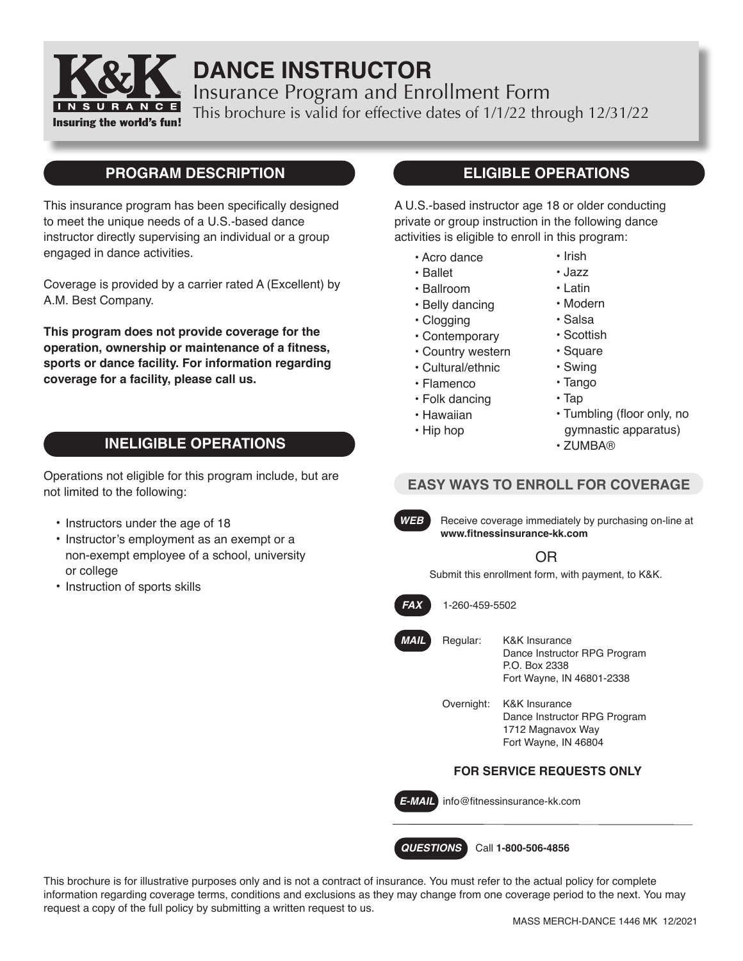

# **DANCE INSTRUCTOR**

Insurance Program and Enrollment Form This brochure is valid for effective dates of 1/1/22 through 12/31/22

Insuring the world's fun!

# **PROGRAM DESCRIPTION**

This insurance program has been specifically designed to meet the unique needs of a U.S.-based dance instructor directly supervising an individual or a group engaged in dance activities.

Coverage is provided by a carrier rated A (Excellent) by A.M. Best Company.

**This program does not provide coverage for the operation, ownership or maintenance of a fitness, sports or dance facility. For information regarding coverage for a facility, please call us.**

# **INELIGIBLE OPERATIONS**

Operations not eligible for this program include, but are not limited to the following:

- Instructors under the age of 18
- Instructor's employment as an exempt or a non-exempt employee of a school, university or college
- Instruction of sports skills

# **ELIGIBLE OPERATIONS**

A U.S.-based instructor age 18 or older conducting private or group instruction in the following dance activities is eligible to enroll in this program:

- Acro dance
- Ballet
- Ballroom
- Belly dancing
- Clogging
- Contemporary
- Country western
- Cultural/ethnic
- Flamenco
- Folk dancing
- Hawaiian
- Hip hop
- Modern
- 
- Salsa
- Scottish
- Square
- Swing
- Tango
- Tap
- Tumbling (floor only, no gymnastic apparatus)
- ZUMBA®

# **EASY WAYS TO ENROLL FOR COVERAGE**



**WEB** Receive coverage immediately by purchasing on-line at **www.fitnessinsurance-kk.com**

# OR

Submit this enrollment form, with payment, to K&K.



*FAX* 1-260-459-5502

*MAIL*

Regular: K&K Insurance Dance Instructor RPG Program P.O. Box 2338 Fort Wayne, IN 46801-2338

Overnight: K&K Insurance Dance Instructor RPG Program 1712 Magnavox Way Fort Wayne, IN 46804

## **FOR SERVICE REQUESTS ONLY**

*E-MAIL* info@fitnessinsurance-kk.com

*QUESTIONS* Call **1-800-506-4856**

This brochure is for illustrative purposes only and is not a contract of insurance. You must refer to the actual policy for complete information regarding coverage terms, conditions and exclusions as they may change from one coverage period to the next. You may request a copy of the full policy by submitting a written request to us.

• Jazz • Latin

• Irish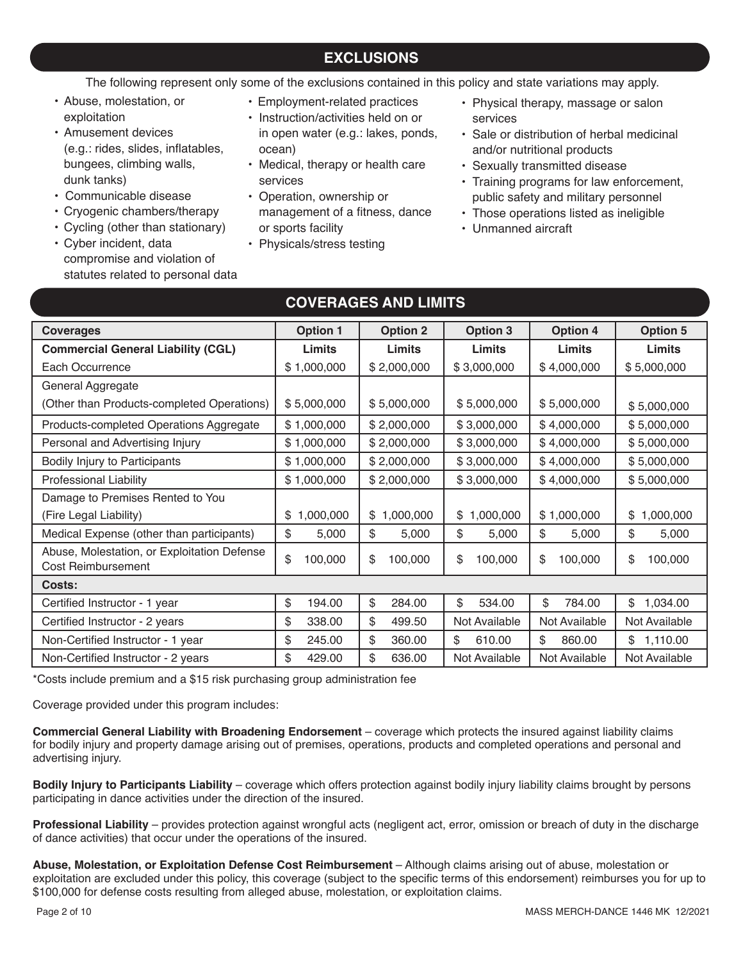# **EXCLUSIONS**

The following represent only some of the exclusions contained in this policy and state variations may apply.

- Abuse, molestation, or exploitation
- Amusement devices (e.g.: rides, slides, inflatables, bungees, climbing walls, dunk tanks)
- Communicable disease
- Cryogenic chambers/therapy
- Cycling (other than stationary)
- Cyber incident, data compromise and violation of statutes related to personal data
- Employment-related practices
- Instruction/activities held on or in open water (e.g.: lakes, ponds, ocean)
- Medical, therapy or health care services
- Operation, ownership or management of a fitness, dance or sports facility
- Physicals/stress testing
- Physical therapy, massage or salon services
- Sale or distribution of herbal medicinal and/or nutritional products
- Sexually transmitted disease
- Training programs for law enforcement, public safety and military personnel
- Those operations listed as ineligible
- Unmanned aircraft

| <b>Coverages</b>                                                  | <b>Option 1</b> | <b>Option 2</b> | <b>Option 3</b> | <b>Option 4</b> | <b>Option 5</b> |
|-------------------------------------------------------------------|-----------------|-----------------|-----------------|-----------------|-----------------|
| <b>Commercial General Liability (CGL)</b>                         | Limits          | Limits          | Limits          | Limits          | Limits          |
| Each Occurrence                                                   | \$1,000,000     | \$2,000,000     | \$3,000,000     | \$4,000,000     | \$5,000,000     |
| General Aggregate                                                 |                 |                 |                 |                 |                 |
| (Other than Products-completed Operations)                        | \$5,000,000     | \$5,000,000     | \$5,000,000     | \$5,000,000     | \$5,000,000     |
| Products-completed Operations Aggregate                           | \$1,000,000     | \$2,000,000     | \$3,000,000     | \$4,000,000     | \$5,000,000     |
| Personal and Advertising Injury                                   | \$1,000,000     | \$2,000,000     | \$3,000,000     | \$4,000,000     | \$5,000,000     |
| Bodily Injury to Participants                                     | \$1,000,000     | \$2,000,000     | \$3,000,000     | \$4,000,000     | \$5,000,000     |
| <b>Professional Liability</b>                                     | \$1,000,000     | \$2,000,000     | \$3,000,000     | \$4,000,000     | \$5,000,000     |
| Damage to Premises Rented to You                                  |                 |                 |                 |                 |                 |
| (Fire Legal Liability)                                            | 1,000,000<br>\$ | \$<br>1,000,000 | 1,000,000<br>\$ | \$1,000,000     | 1,000,000<br>\$ |
| Medical Expense (other than participants)                         | \$<br>5,000     | \$<br>5,000     | \$<br>5,000     | \$<br>5,000     | \$<br>5,000     |
| Abuse, Molestation, or Exploitation Defense<br>Cost Reimbursement | \$<br>100,000   | \$<br>100,000   | \$<br>100,000   | \$<br>100,000   | \$<br>100,000   |
| Costs:                                                            |                 |                 |                 |                 |                 |
| Certified Instructor - 1 year                                     | \$<br>194.00    | \$<br>284.00    | \$<br>534.00    | \$<br>784.00    | \$<br>1,034.00  |
| Certified Instructor - 2 years                                    | \$<br>338.00    | \$<br>499.50    | Not Available   | Not Available   | Not Available   |
| Non-Certified Instructor - 1 year                                 | \$<br>245.00    | \$<br>360.00    | \$<br>610.00    | \$<br>860.00    | \$1,110.00      |
| Non-Certified Instructor - 2 years                                | \$<br>429.00    | \$<br>636.00    | Not Available   | Not Available   | Not Available   |

**COVERAGES AND LIMITS** 

\*Costs include premium and a \$15 risk purchasing group administration fee

Coverage provided under this program includes:

**Commercial General Liability with Broadening Endorsement** – coverage which protects the insured against liability claims for bodily injury and property damage arising out of premises, operations, products and completed operations and personal and advertising injury.

**Bodily Injury to Participants Liability** – coverage which offers protection against bodily injury liability claims brought by persons participating in dance activities under the direction of the insured.

**Professional Liability** – provides protection against wrongful acts (negligent act, error, omission or breach of duty in the discharge of dance activities) that occur under the operations of the insured.

**Abuse, Molestation, or Exploitation Defense Cost Reimbursement** – Although claims arising out of abuse, molestation or exploitation are excluded under this policy, this coverage (subject to the specific terms of this endorsement) reimburses you for up to \$100,000 for defense costs resulting from alleged abuse, molestation, or exploitation claims.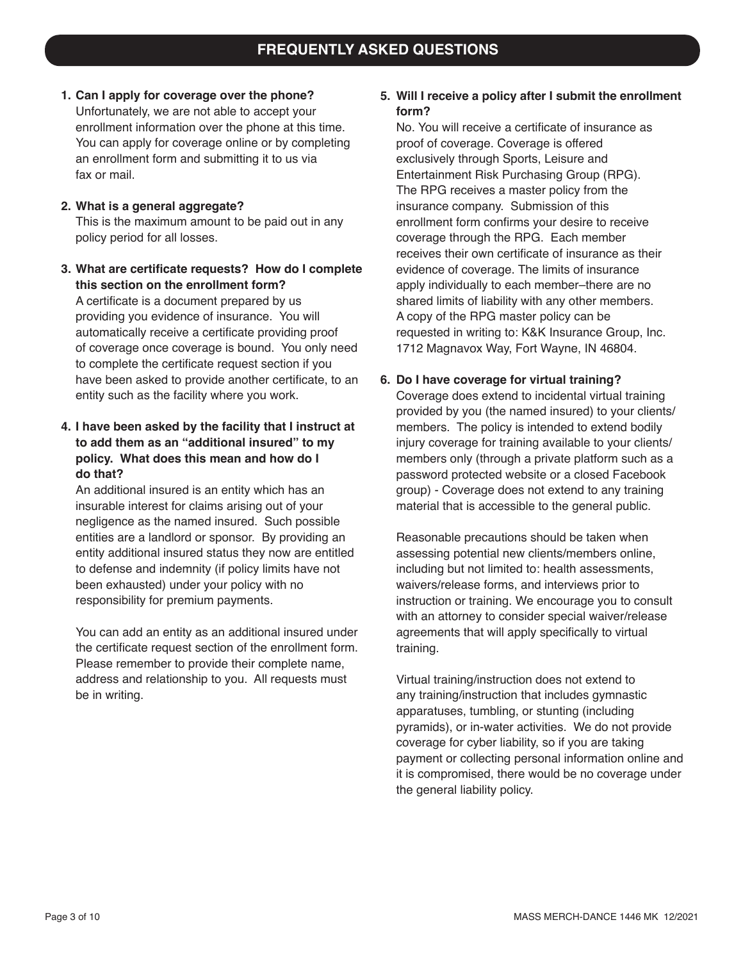- **1. Can I apply for coverage over the phone?** Unfortunately, we are not able to accept your enrollment information over the phone at this time. You can apply for coverage online or by completing an enrollment form and submitting it to us via fax or mail.
- **2. What is a general aggregate?** This is the maximum amount to be paid out in any policy period for all losses.
- **3. What are certificate requests? How do I complete this section on the enrollment form?**

A certificate is a document prepared by us providing you evidence of insurance. You will automatically receive a certificate providing proof of coverage once coverage is bound. You only need to complete the certificate request section if you have been asked to provide another certificate, to an entity such as the facility where you work.

**4. I have been asked by the facility that I instruct at to add them as an "additional insured" to my policy. What does this mean and how do I do that?**

An additional insured is an entity which has an insurable interest for claims arising out of your negligence as the named insured. Such possible entities are a landlord or sponsor. By providing an entity additional insured status they now are entitled to defense and indemnity (if policy limits have not been exhausted) under your policy with no responsibility for premium payments.

You can add an entity as an additional insured under the certificate request section of the enrollment form. Please remember to provide their complete name, address and relationship to you. All requests must be in writing.

### **5. Will I receive a policy after I submit the enrollment form?**

No. You will receive a certificate of insurance as proof of coverage. Coverage is offered exclusively through Sports, Leisure and Entertainment Risk Purchasing Group (RPG). The RPG receives a master policy from the insurance company. Submission of this enrollment form confirms your desire to receive coverage through the RPG. Each member receives their own certificate of insurance as their evidence of coverage. The limits of insurance apply individually to each member–there are no shared limits of liability with any other members. A copy of the RPG master policy can be requested in writing to: K&K Insurance Group, Inc. 1712 Magnavox Way, Fort Wayne, IN 46804.

#### **6. Do I have coverage for virtual training?**

Coverage does extend to incidental virtual training provided by you (the named insured) to your clients/ members. The policy is intended to extend bodily injury coverage for training available to your clients/ members only (through a private platform such as a password protected website or a closed Facebook group) - Coverage does not extend to any training material that is accessible to the general public.

Reasonable precautions should be taken when assessing potential new clients/members online, including but not limited to: health assessments, waivers/release forms, and interviews prior to instruction or training. We encourage you to consult with an attorney to consider special waiver/release agreements that will apply specifically to virtual training.

Virtual training/instruction does not extend to any training/instruction that includes gymnastic apparatuses, tumbling, or stunting (including pyramids), or in-water activities. We do not provide coverage for cyber liability, so if you are taking payment or collecting personal information online and it is compromised, there would be no coverage under the general liability policy.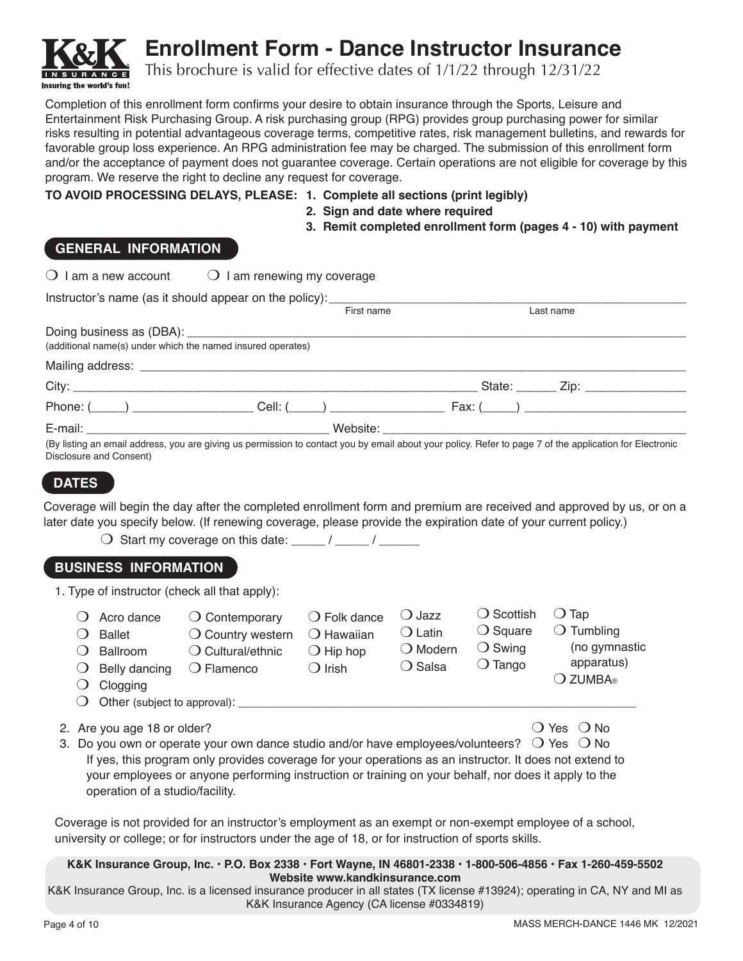

# **Enrollment Form - Dance Instructor Insurance**

This brochure is valid for effective dates of 1/1/22 through 12/31/22

Completion of this enrollment form confirms your desire to obtain insurance through the Sports, Leisure and Entertainment Risk Purchasing Group. A risk purchasing group (RPG) provides group purchasing power for similar risks resulting in potential advantageous coverage terms, competitive rates, risk management bulletins, and rewards for favorable group loss experience. An RPG administration fee may be charged. The submission of this enrollment form and/or the acceptance of payment does not guarantee coverage. Certain operations are not eligible for coverage by this program. We reserve the right to decline any request for coverage.

#### **TO AVOID PROCESSING DELAYS, PLEASE: 1. Complete all sections (print legibly)**

- **2. Sign and date where required**
- **3. Remit completed enrollment form (pages 4 10) with payment**

## **GENERAL INFORMATION**

| $\bigcirc$ I am a new account                                   | $\bigcirc$ I am renewing my coverage                                                                                                                                                                                                     |                                                                                |                                                                              |                                                                                  |                                                                      |  |
|-----------------------------------------------------------------|------------------------------------------------------------------------------------------------------------------------------------------------------------------------------------------------------------------------------------------|--------------------------------------------------------------------------------|------------------------------------------------------------------------------|----------------------------------------------------------------------------------|----------------------------------------------------------------------|--|
|                                                                 | Instructor's name (as it should appear on the policy): __________________________                                                                                                                                                        |                                                                                |                                                                              |                                                                                  |                                                                      |  |
|                                                                 |                                                                                                                                                                                                                                          | First name                                                                     |                                                                              |                                                                                  | Last name                                                            |  |
|                                                                 | (additional name(s) under which the named insured operates)                                                                                                                                                                              |                                                                                |                                                                              |                                                                                  |                                                                      |  |
|                                                                 |                                                                                                                                                                                                                                          |                                                                                |                                                                              |                                                                                  |                                                                      |  |
|                                                                 |                                                                                                                                                                                                                                          |                                                                                |                                                                              |                                                                                  |                                                                      |  |
|                                                                 |                                                                                                                                                                                                                                          |                                                                                |                                                                              |                                                                                  |                                                                      |  |
|                                                                 |                                                                                                                                                                                                                                          |                                                                                |                                                                              |                                                                                  |                                                                      |  |
| <b>DATES</b>                                                    | Coverage will begin the day after the completed enrollment form and premium are received and approved by us, or on a<br>later date you specify below. (If renewing coverage, please provide the expiration date of your current policy.) |                                                                                |                                                                              |                                                                                  |                                                                      |  |
| <b>BUSINESS INFORMATION</b>                                     |                                                                                                                                                                                                                                          |                                                                                |                                                                              |                                                                                  |                                                                      |  |
| 1. Type of instructor (check all that apply):                   |                                                                                                                                                                                                                                          |                                                                                |                                                                              |                                                                                  |                                                                      |  |
| Acro dance<br><b>Ballet</b><br><b>Ballroom</b><br>Belly dancing | $\bigcirc$ Contemporary<br>$\bigcirc$ Country western<br>$\bigcirc$ Cultural/ethnic<br>$\bigcirc$ Flamenco                                                                                                                               | () Folk dance<br>$\bigcirc$ Hawaiian<br>$\bigcirc$ Hip hop<br>$\bigcirc$ Irish | $\bigcirc$ Jazz<br>$\bigcirc$ Latin<br>$\bigcirc$ Modern<br>$\bigcirc$ Salsa | $\bigcirc$ Scottish<br>$\bigcirc$ Square<br>$\bigcirc$ Swing<br>$\bigcirc$ Tango | $\bigcirc$ Tap<br>$\bigcirc$ Tumbling<br>(no gymnastic<br>apparatus) |  |

- $\bigcirc$  Clogging
- $\bigcirc$  Other (subject to approval):

2. Are you age 18 or older?

| () Yes | $()$ No |
|--------|---------|
|--------|---------|

O ZUMBA®

3. Do you own or operate your own dance studio and/or have employees/volunteers?  $\bigcirc$  Yes  $\bigcirc$  No If yes, this program only provides coverage for your operations as an instructor. It does not extend to your employees or anyone performing instruction or training on your behalf, nor does it apply to the operation of a studio/facility.

Coverage is not provided for an instructor's employment as an exempt or non-exempt employee of a school, university or college; or for instructors under the age of 18, or for instruction of sports skills.

#### **K&K Insurance Group, Inc. • P.O. Box 2338 • Fort Wayne, IN 46801-2338 • 1-800-506-4856 • Fax 1-260-459-5502 Website www.kandkinsurance.com**

K&K Insurance Group, Inc. is a licensed insurance producer in all states (TX license #13924); operating in CA, NY and MI as K&K Insurance Agency (CA license #0334819)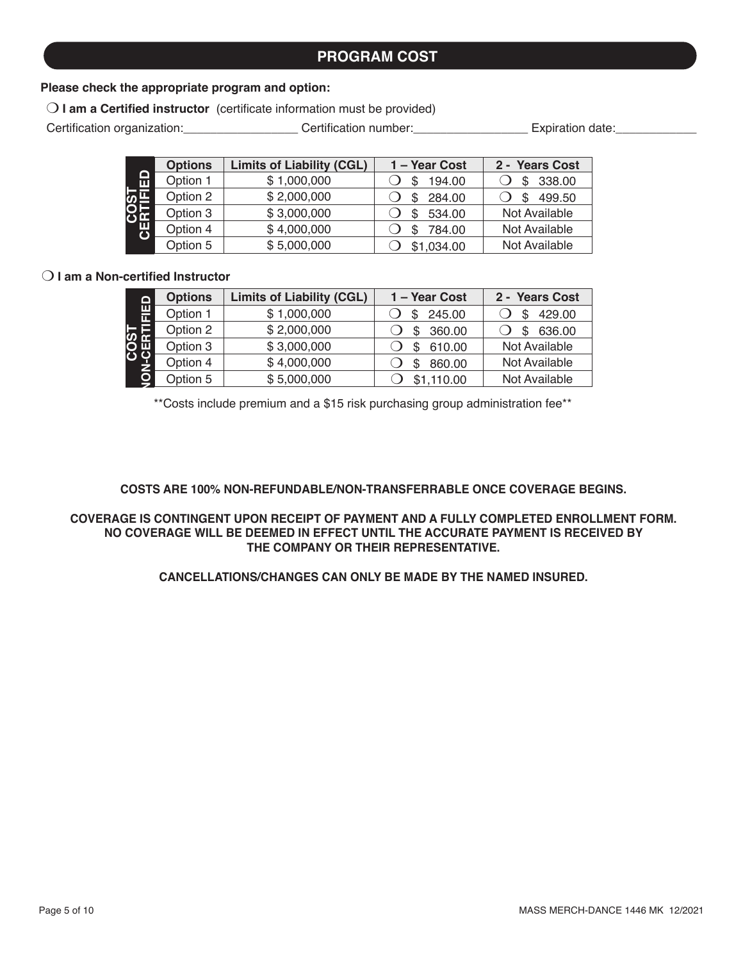# **PROGRAM COST**

#### **Please check the appropriate program and option:**

O I am a Certified instructor (certificate information must be provided)

Certification organization: <br>Certification number: expiration date:

|                                            | <b>Options</b> | <b>Limits of Liability (CGL)</b> | 1 - Year Cost | 2 - Years Cost |
|--------------------------------------------|----------------|----------------------------------|---------------|----------------|
| O<br>ш                                     | Option 1       | \$1,000,000                      | 194.00<br>S   | 338.00<br>S    |
| ო —                                        | Option 2       | \$2,000,000                      | 284.00<br>S   | 499.50<br>\$.  |
| 8면                                         | Option 3       | \$3,000,000                      | 534.00<br>S   | Not Available  |
| п                                          | Option 4       | \$4,000,000                      | 784.00<br>S   | Not Available  |
|                                            | Option 5       | \$5,000,000                      | \$1,034.00    | Not Available  |
|                                            |                |                                  |               |                |
| $\bigcirc$ I am a Non-certified Instructor |                |                                  |               |                |

| ≏      | <b>Options</b> | <b>Limits of Liability (CGL)</b> | 1 - Year Cost | 2 - Years Cost |
|--------|----------------|----------------------------------|---------------|----------------|
| ш<br>m | Option 1       | \$1,000,000                      | 245.00        | 429.00         |
|        | Option 2       | \$2,000,000                      | 360.00        | 636.00         |
| 0 W    | Option 3       | \$3,000,000                      | 610.00        | Not Available  |
|        | Option 4       | \$4,000,000                      | 860.00        | Not Available  |
|        | Option 5       | \$5,000,000                      | \$1,110.00    | Not Available  |

\*\*Costs include premium and a \$15 risk purchasing group administration fee\*\*

#### **COSTS ARE 100% NON-REFUNDABLE/NON-TRANSFERRABLE ONCE COVERAGE BEGINS.**

#### **COVERAGE IS CONTINGENT UPON RECEIPT OF PAYMENT AND A FULLY COMPLETED ENROLLMENT FORM. NO COVERAGE WILL BE DEEMED IN EFFECT UNTIL THE ACCURATE PAYMENT IS RECEIVED BY THE COMPANY OR THEIR REPRESENTATIVE.**

#### **CANCELLATIONS/CHANGES CAN ONLY BE MADE BY THE NAMED INSURED.**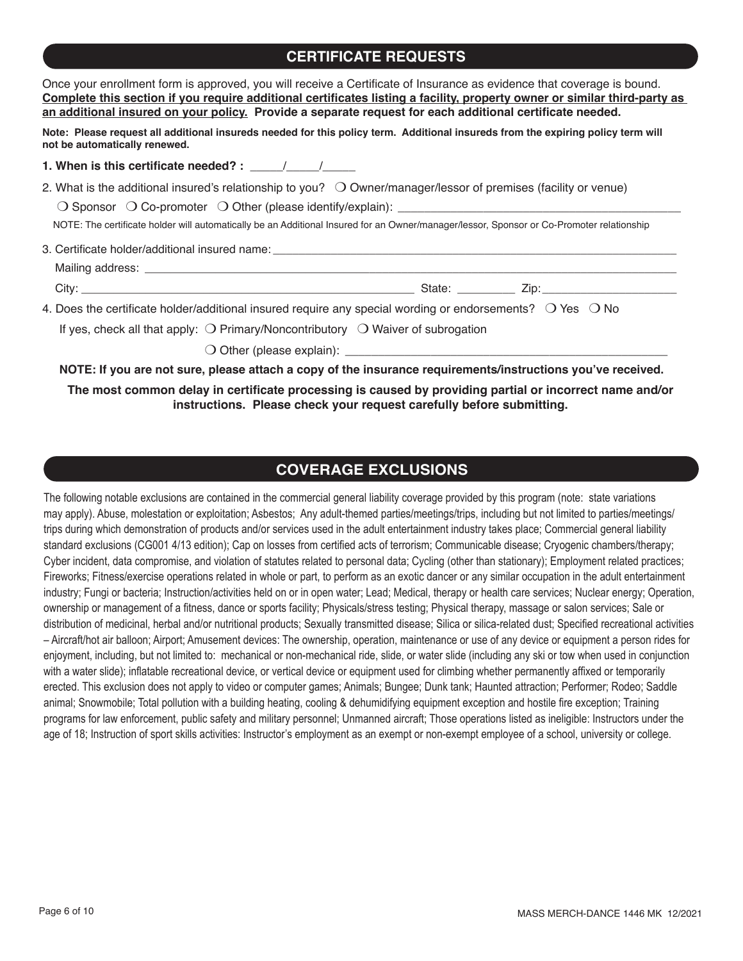# **CERTIFICATE REQUESTS**

| Once your enrollment form is approved, you will receive a Certificate of Insurance as evidence that coverage is bound.<br>Complete this section if you require additional certificates listing a facility, property owner or similar third-party as<br>an additional insured on your policy. Provide a separate request for each additional certificate needed. |  |  |  |  |  |
|-----------------------------------------------------------------------------------------------------------------------------------------------------------------------------------------------------------------------------------------------------------------------------------------------------------------------------------------------------------------|--|--|--|--|--|
| Note: Please request all additional insureds needed for this policy term. Additional insureds from the expiring policy term will<br>not be automatically renewed.                                                                                                                                                                                               |  |  |  |  |  |
|                                                                                                                                                                                                                                                                                                                                                                 |  |  |  |  |  |
| 2. What is the additional insured's relationship to you? $\bigcirc$ Owner/manager/lessor of premises (facility or venue)<br>NOTE: The certificate holder will automatically be an Additional Insured for an Owner/manager/lessor, Sponsor or Co-Promoter relationship                                                                                           |  |  |  |  |  |
|                                                                                                                                                                                                                                                                                                                                                                 |  |  |  |  |  |
|                                                                                                                                                                                                                                                                                                                                                                 |  |  |  |  |  |
| 4. Does the certificate holder/additional insured require any special wording or endorsements? $\bigcirc$ Yes $\bigcirc$ No                                                                                                                                                                                                                                     |  |  |  |  |  |
| If yes, check all that apply: $\bigcirc$ Primary/Noncontributory $\bigcirc$ Waiver of subrogation                                                                                                                                                                                                                                                               |  |  |  |  |  |
|                                                                                                                                                                                                                                                                                                                                                                 |  |  |  |  |  |
| NOTE: If you are not sure, please attach a copy of the insurance requirements/instructions you've received.                                                                                                                                                                                                                                                     |  |  |  |  |  |

**The most common delay in certificate processing is caused by providing partial or incorrect name and/or instructions. Please check your request carefully before submitting.**

## **COVERAGE EXCLUSIONS**

The following notable exclusions are contained in the commercial general liability coverage provided by this program (note: state variations may apply). Abuse, molestation or exploitation; Asbestos; Any adult-themed parties/meetings/trips, including but not limited to parties/meetings/ trips during which demonstration of products and/or services used in the adult entertainment industry takes place; Commercial general liability standard exclusions (CG001 4/13 edition); Cap on losses from certified acts of terrorism; Communicable disease; Cryogenic chambers/therapy; Cyber incident, data compromise, and violation of statutes related to personal data; Cycling (other than stationary); Employment related practices; Fireworks; Fitness/exercise operations related in whole or part, to perform as an exotic dancer or any similar occupation in the adult entertainment industry; Fungi or bacteria; Instruction/activities held on or in open water; Lead; Medical, therapy or health care services; Nuclear energy; Operation, ownership or management of a fitness, dance or sports facility; Physicals/stress testing; Physical therapy, massage or salon services; Sale or distribution of medicinal, herbal and/or nutritional products; Sexually transmitted disease; Silica or silica-related dust; Specified recreational activities – Aircraft/hot air balloon; Airport; Amusement devices: The ownership, operation, maintenance or use of any device or equipment a person rides for enjoyment, including, but not limited to: mechanical or non-mechanical ride, slide, or water slide (including any ski or tow when used in conjunction with a water slide); inflatable recreational device, or vertical device or equipment used for climbing whether permanently affixed or temporarily erected. This exclusion does not apply to video or computer games; Animals; Bungee; Dunk tank; Haunted attraction; Performer; Rodeo; Saddle animal; Snowmobile; Total pollution with a building heating, cooling & dehumidifying equipment exception and hostile fire exception; Training programs for law enforcement, public safety and military personnel; Unmanned aircraft; Those operations listed as ineligible: Instructors under the age of 18; Instruction of sport skills activities: Instructor's employment as an exempt or non-exempt employee of a school, university or college.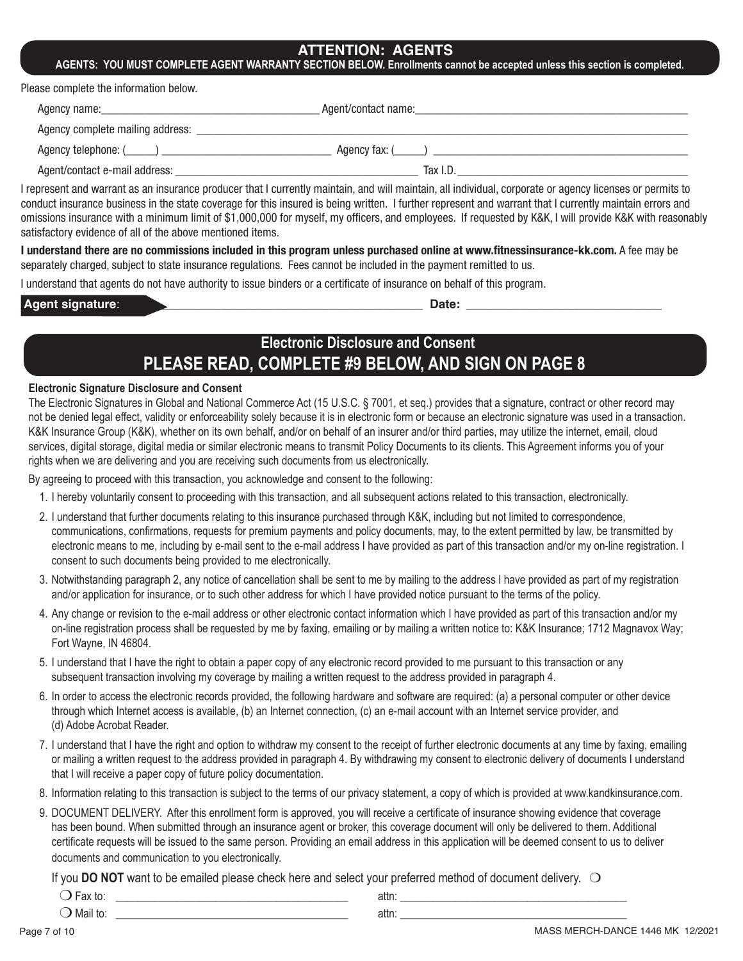#### **ATTENTION: AGENTS**

#### **AGENTS: YOU MUST COMPLETE AGENT WARRANTY SECTION BELOW. Enrollments cannot be accepted unless this section is completed.**

Please complete the information below.

| Agency name: example a series and a series of the series of the series of the series of the series of the series of the series of the series of the series of the series of the series of the series of the series of the seri | Agent/contact name: |  |
|--------------------------------------------------------------------------------------------------------------------------------------------------------------------------------------------------------------------------------|---------------------|--|
| Agency complete mailing address:                                                                                                                                                                                               |                     |  |
| Agency telephone: (_____)                                                                                                                                                                                                      | Agency fax: (       |  |
| Agent/contact e-mail address:                                                                                                                                                                                                  | Tax I.D.            |  |

I represent and warrant as an insurance producer that I currently maintain, and will maintain, all individual, corporate or agency licenses or permits to conduct insurance business in the state coverage for this insured is being written. I further represent and warrant that I currently maintain errors and omissions insurance with a minimum limit of \$1,000,000 for myself, my officers, and employees. If requested by K&K, I will provide K&K with reasonably satisfactory evidence of all of the above mentioned items.

**I understand there are no commissions included in this program unless purchased online at www.fitnessinsurance-kk.com.** A fee may be separately charged, subject to state insurance regulations. Fees cannot be included in the payment remitted to us.

I understand that agents do not have authority to issue binders or a certificate of insurance on behalf of this program.

**Agent signature**: \_\_\_\_\_\_\_\_\_\_\_\_\_\_\_\_\_\_\_\_\_\_\_\_\_\_\_\_\_\_\_\_\_\_\_\_\_\_\_\_\_\_\_\_ **Date:** \_\_\_\_\_\_\_\_\_\_\_\_\_\_\_\_\_\_\_\_\_\_\_\_\_\_\_\_\_

# **Electronic Disclosure and Consent PLEASE READ, COMPLETE #9 BELOW, AND SIGN ON PAGE 8**

#### **Electronic Signature Disclosure and Consent**

The Electronic Signatures in Global and National Commerce Act (15 U.S.C. § 7001, et seq.) provides that a signature, contract or other record may not be denied legal effect, validity or enforceability solely because it is in electronic form or because an electronic signature was used in a transaction. K&K Insurance Group (K&K), whether on its own behalf, and/or on behalf of an insurer and/or third parties, may utilize the internet, email, cloud services, digital storage, digital media or similar electronic means to transmit Policy Documents to its clients. This Agreement informs you of your rights when we are delivering and you are receiving such documents from us electronically.

By agreeing to proceed with this transaction, you acknowledge and consent to the following:

- 1. I hereby voluntarily consent to proceeding with this transaction, and all subsequent actions related to this transaction, electronically.
- 2. I understand that further documents relating to this insurance purchased through K&K, including but not limited to correspondence, communications, confirmations, requests for premium payments and policy documents, may, to the extent permitted by law, be transmitted by electronic means to me, including by e-mail sent to the e-mail address I have provided as part of this transaction and/or my on-line registration. I consent to such documents being provided to me electronically.
- 3. Notwithstanding paragraph 2, any notice of cancellation shall be sent to me by mailing to the address I have provided as part of my registration and/or application for insurance, or to such other address for which I have provided notice pursuant to the terms of the policy.
- 4. Any change or revision to the e-mail address or other electronic contact information which I have provided as part of this transaction and/or my on-line registration process shall be requested by me by faxing, emailing or by mailing a written notice to: K&K Insurance; 1712 Magnavox Way; Fort Wayne, IN 46804.
- 5. I understand that I have the right to obtain a paper copy of any electronic record provided to me pursuant to this transaction or any subsequent transaction involving my coverage by mailing a written request to the address provided in paragraph 4.
- 6. In order to access the electronic records provided, the following hardware and software are required: (a) a personal computer or other device through which Internet access is available, (b) an Internet connection, (c) an e-mail account with an Internet service provider, and (d) Adobe Acrobat Reader.
- 7. I understand that I have the right and option to withdraw my consent to the receipt of further electronic documents at any time by faxing, emailing or mailing a written request to the address provided in paragraph 4. By withdrawing my consent to electronic delivery of documents I understand that I will receive a paper copy of future policy documentation.
- 8. Information relating to this transaction is subject to the terms of our privacy statement, a copy of which is provided at www.kandkinsurance.com.
- 9. DOCUMENT DELIVERY. After this enrollment form is approved, you will receive a certificate of insurance showing evidence that coverage has been bound. When submitted through an insurance agent or broker, this coverage document will only be delivered to them. Additional certificate requests will be issued to the same person. Providing an email address in this application will be deemed consent to us to deliver documents and communication to you electronically.

If you **DO NOT** want to be emailed please check here and select your preferred method of document delivery.  $\bigcirc$ 

| w<br>11 <sup>0</sup> | attn: |  |
|----------------------|-------|--|
| Mail to.             | attn: |  |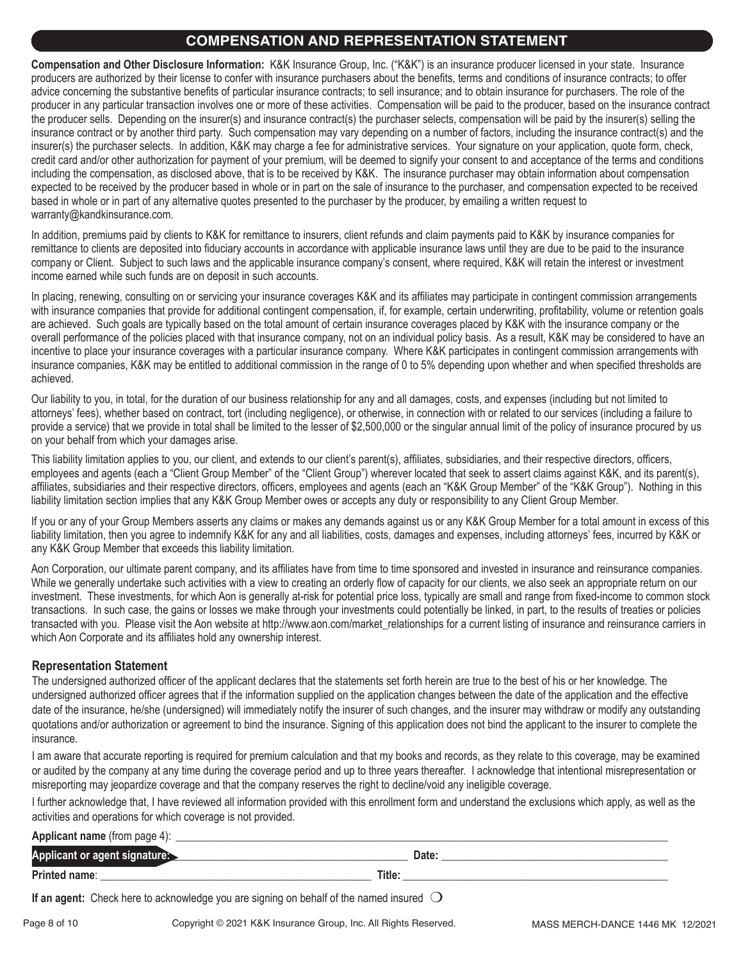# **COMPENSATION AND REPRESENTATION STATEMENT**

**Compensation and Other Disclosure Information:** K&K Insurance Group, Inc. ("K&K") is an insurance producer licensed in your state. Insurance producers are authorized by their license to confer with insurance purchasers about the benefits, terms and conditions of insurance contracts; to offer advice concerning the substantive benefits of particular insurance contracts; to sell insurance; and to obtain insurance for purchasers. The role of the producer in any particular transaction involves one or more of these activities. Compensation will be paid to the producer, based on the insurance contract the producer sells. Depending on the insurer(s) and insurance contract(s) the purchaser selects, compensation will be paid by the insurer(s) selling the insurance contract or by another third party. Such compensation may vary depending on a number of factors, including the insurance contract(s) and the insurer(s) the purchaser selects. In addition, K&K may charge a fee for administrative services. Your signature on your application, quote form, check, credit card and/or other authorization for payment of your premium, will be deemed to signify your consent to and acceptance of the terms and conditions including the compensation, as disclosed above, that is to be received by K&K. The insurance purchaser may obtain information about compensation expected to be received by the producer based in whole or in part on the sale of insurance to the purchaser, and compensation expected to be received based in whole or in part of any alternative quotes presented to the purchaser by the producer, by emailing a written request to warranty@kandkinsurance.com.

In addition, premiums paid by clients to K&K for remittance to insurers, client refunds and claim payments paid to K&K by insurance companies for remittance to clients are deposited into fiduciary accounts in accordance with applicable insurance laws until they are due to be paid to the insurance company or Client. Subject to such laws and the applicable insurance company's consent, where required, K&K will retain the interest or investment income earned while such funds are on deposit in such accounts.

In placing, renewing, consulting on or servicing your insurance coverages K&K and its affiliates may participate in contingent commission arrangements with insurance companies that provide for additional contingent compensation, if, for example, certain underwriting, profitability, volume or retention goals are achieved. Such goals are typically based on the total amount of certain insurance coverages placed by K&K with the insurance company or the overall performance of the policies placed with that insurance company, not on an individual policy basis. As a result, K&K may be considered to have an incentive to place your insurance coverages with a particular insurance company. Where K&K participates in contingent commission arrangements with insurance companies, K&K may be entitled to additional commission in the range of 0 to 5% depending upon whether and when specified thresholds are achieved.

Our liability to you, in total, for the duration of our business relationship for any and all damages, costs, and expenses (including but not limited to attorneys' fees), whether based on contract, tort (including negligence), or otherwise, in connection with or related to our services (including a failure to provide a service) that we provide in total shall be limited to the lesser of \$2,500,000 or the singular annual limit of the policy of insurance procured by us on your behalf from which your damages arise.

This liability limitation applies to you, our client, and extends to our client's parent(s), affiliates, subsidiaries, and their respective directors, officers, employees and agents (each a "Client Group Member" of the "Client Group") wherever located that seek to assert claims against K&K, and its parent(s), affiliates, subsidiaries and their respective directors, officers, employees and agents (each an "K&K Group Member" of the "K&K Group"). Nothing in this liability limitation section implies that any K&K Group Member owes or accepts any duty or responsibility to any Client Group Member.

If you or any of your Group Members asserts any claims or makes any demands against us or any K&K Group Member for a total amount in excess of this liability limitation, then you agree to indemnify K&K for any and all liabilities, costs, damages and expenses, including attorneys' fees, incurred by K&K or any K&K Group Member that exceeds this liability limitation.

Aon Corporation, our ultimate parent company, and its affiliates have from time to time sponsored and invested in insurance and reinsurance companies. While we generally undertake such activities with a view to creating an orderly flow of capacity for our clients, we also seek an appropriate return on our investment. These investments, for which Aon is generally at-risk for potential price loss, typically are small and range from fixed-income to common stock transactions. In such case, the gains or losses we make through your investments could potentially be linked, in part, to the results of treaties or policies transacted with you. Please visit the Aon website at http://www.aon.com/market\_relationships for a current listing of insurance and reinsurance carriers in which Aon Corporate and its affiliates hold any ownership interest.

#### **Representation Statement**

The undersigned authorized officer of the applicant declares that the statements set forth herein are true to the best of his or her knowledge. The undersigned authorized officer agrees that if the information supplied on the application changes between the date of the application and the effective date of the insurance, he/she (undersigned) will immediately notify the insurer of such changes, and the insurer may withdraw or modify any outstanding quotations and/or authorization or agreement to bind the insurance. Signing of this application does not bind the applicant to the insurer to complete the insurance.

I am aware that accurate reporting is required for premium calculation and that my books and records, as they relate to this coverage, may be examined or audited by the company at any time during the coverage period and up to three years thereafter. I acknowledge that intentional misrepresentation or misreporting may jeopardize coverage and that the company reserves the right to decline/void any ineligible coverage.

I further acknowledge that, I have reviewed all information provided with this enrollment form and understand the exclusions which apply, as well as the activities and operations for which coverage is not provided.

**Applicant name** (from page 4):

| Appl<br>cant or |        | Date: |
|-----------------|--------|-------|
| Printed name:   | Title: |       |

**If an agent:** Check here to acknowledge you are signing on behalf of the named insured  $\bigcirc$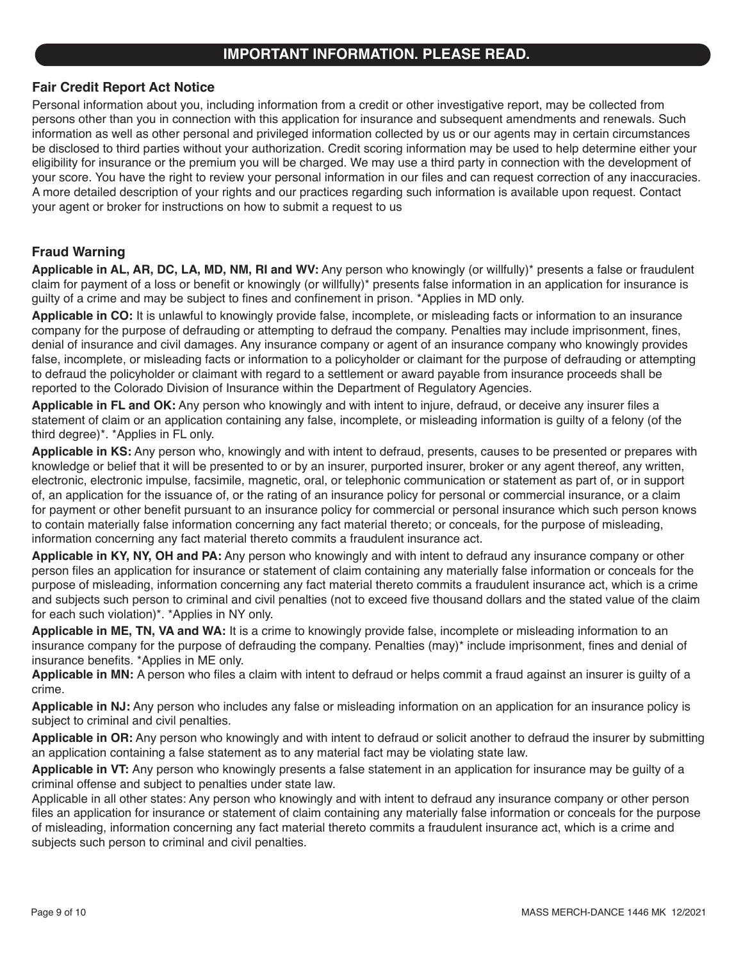## **IMPORTANT INFORMATION. PLEASE READ.**

#### **Fair Credit Report Act Notice**

Personal information about you, including information from a credit or other investigative report, may be collected from persons other than you in connection with this application for insurance and subsequent amendments and renewals. Such information as well as other personal and privileged information collected by us or our agents may in certain circumstances be disclosed to third parties without your authorization. Credit scoring information may be used to help determine either your eligibility for insurance or the premium you will be charged. We may use a third party in connection with the development of your score. You have the right to review your personal information in our files and can request correction of any inaccuracies. A more detailed description of your rights and our practices regarding such information is available upon request. Contact your agent or broker for instructions on how to submit a request to us

### **Fraud Warning**

**Applicable in AL, AR, DC, LA, MD, NM, RI and WV:** Any person who knowingly (or willfully)\* presents a false or fraudulent claim for payment of a loss or benefit or knowingly (or willfully)\* presents false information in an application for insurance is guilty of a crime and may be subject to fines and confinement in prison. \*Applies in MD only.

**Applicable in CO:** It is unlawful to knowingly provide false, incomplete, or misleading facts or information to an insurance company for the purpose of defrauding or attempting to defraud the company. Penalties may include imprisonment, fines, denial of insurance and civil damages. Any insurance company or agent of an insurance company who knowingly provides false, incomplete, or misleading facts or information to a policyholder or claimant for the purpose of defrauding or attempting to defraud the policyholder or claimant with regard to a settlement or award payable from insurance proceeds shall be reported to the Colorado Division of Insurance within the Department of Regulatory Agencies.

**Applicable in FL and OK:** Any person who knowingly and with intent to injure, defraud, or deceive any insurer files a statement of claim or an application containing any false, incomplete, or misleading information is guilty of a felony (of the third degree)\*. \*Applies in FL only.

**Applicable in KS:** Any person who, knowingly and with intent to defraud, presents, causes to be presented or prepares with knowledge or belief that it will be presented to or by an insurer, purported insurer, broker or any agent thereof, any written, electronic, electronic impulse, facsimile, magnetic, oral, or telephonic communication or statement as part of, or in support of, an application for the issuance of, or the rating of an insurance policy for personal or commercial insurance, or a claim for payment or other benefit pursuant to an insurance policy for commercial or personal insurance which such person knows to contain materially false information concerning any fact material thereto; or conceals, for the purpose of misleading, information concerning any fact material thereto commits a fraudulent insurance act.

**Applicable in KY, NY, OH and PA:** Any person who knowingly and with intent to defraud any insurance company or other person files an application for insurance or statement of claim containing any materially false information or conceals for the purpose of misleading, information concerning any fact material thereto commits a fraudulent insurance act, which is a crime and subjects such person to criminal and civil penalties (not to exceed five thousand dollars and the stated value of the claim for each such violation)\*. \*Applies in NY only.

**Applicable in ME, TN, VA and WA:** It is a crime to knowingly provide false, incomplete or misleading information to an insurance company for the purpose of defrauding the company. Penalties (may)\* include imprisonment, fines and denial of insurance benefits. \*Applies in ME only.

**Applicable in MN:** A person who files a claim with intent to defraud or helps commit a fraud against an insurer is guilty of a crime.

**Applicable in NJ:** Any person who includes any false or misleading information on an application for an insurance policy is subject to criminal and civil penalties.

**Applicable in OR:** Any person who knowingly and with intent to defraud or solicit another to defraud the insurer by submitting an application containing a false statement as to any material fact may be violating state law.

**Applicable in VT:** Any person who knowingly presents a false statement in an application for insurance may be guilty of a criminal offense and subject to penalties under state law.

Applicable in all other states: Any person who knowingly and with intent to defraud any insurance company or other person files an application for insurance or statement of claim containing any materially false information or conceals for the purpose of misleading, information concerning any fact material thereto commits a fraudulent insurance act, which is a crime and subjects such person to criminal and civil penalties.